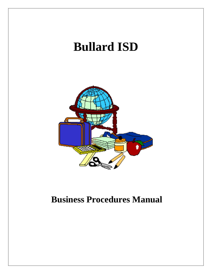# **Bullard ISD Business Procedures Manual**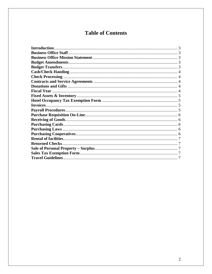# **Table of Contents**

| Invoices                |  |
|-------------------------|--|
|                         |  |
|                         |  |
|                         |  |
|                         |  |
|                         |  |
|                         |  |
|                         |  |
| <b>Returned Checks.</b> |  |
|                         |  |
|                         |  |
|                         |  |
|                         |  |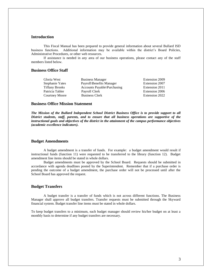# **Introduction**

This Fiscal Manual has been prepared to provide general information about several Bullard ISD business functions. Additional information may be available within the district's Board Policies, Administrative Procedures, or other web resources.

If assistance is needed in any area of our business operations, please contact any of the staff members listed below.

# **Business Office Staff**

| Gloria West           | <b>Business Manager</b>     | Extension 2009 |
|-----------------------|-----------------------------|----------------|
| Stephanie Yates       | Payroll\Benefits Manager    | Extension 2007 |
| <b>Tiffany Brooks</b> | Accounts Payable\Purchasing | Extension 2011 |
| Patricia Tabler       | Payroll Clerk               | Extension 2006 |
| Courtney Moore        | <b>Business Clerk</b>       | Extension 2022 |

# **Business Office Mission Statement**

*The Mission of the Bullard Independent School District Business Office is to provide support to all District students, staff, parents, and to ensure that all business operations are supportive of the instructional goals and objectives of the district in the attainment of the campus performance objectives (academic excellence indicators).*

#### **Budget Amendments**

A budget amendment is a transfer of funds. For example: a budget amendment would result if instructional funds (function 11) were requested to be transferred to the library (function 12). Budget amendment line items should be stated in whole dollars.

Budget amendments must be approved by the School Board. Requests should be submitted in accordance with agenda deadlines posted by the Superintendent. Remember that if a purchase order is pending the outcome of a budget amendment, the purchase order will not be processed until after the School Board has approved the request.

# **Budget Transfers**

A budget transfer is a transfer of funds which is not across different functions. The Business Manager shall approve all budget transfers. Transfer requests must be submitted through the Skyward financial system. Budget transfer line items must be stated in whole dollars.

To keep budget transfers to a minimum, each budget manager should review his/her budget on at least a monthly basis to determine if any budget transfers are necessary.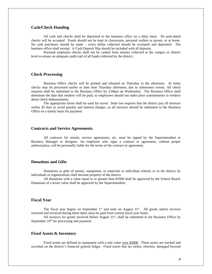# **Cash/Check Handing**

All cash and checks shall be deposited to the business office on a daily basis. No post-dated checks will be accepted. Funds should not be kept in classrooms, personal wallets or purses, or at home. No cash purchases should be made – every dollar collected should be receipted and deposited. The business office shall receipt. A Cash Deposit Slip should be included with all deposits.

Personal employee checks shall not be cashed from monies collected at the campus or district level to ensure an adequate audit trail of all funds collected by the district.

# **Check Processing**

Business Office checks will be printed and released on Thursday in the afternoon. At times checks may be processed earlier or later than Thursday afternoon, due to unforeseen events. All check requests shall be submitted to the Business Office by 3:00pm on Wednesday. The Business Office shall determine the date that vendors will be paid, so employees should not make prior commitments to vendors about check disbursements.

The appropriate forms shall be used for travel. State law requires that the district pay all invoices within 30 days to avoid penalty and interest charges, so all invoices should be submitted to the Business Office on a timely basis for payment.

#### **Contracts and Service Agreements**

All contracts for rentals, service agreements, etc. must be signed by the Superintendent or Business Manager or designee. An employee who signs a contract or agreement, without proper authorization, will be personally liable for the terms of the contract or agreement.

# **Donations and Gifts**

Donations or gifts of money, equipment, or materials to individual schools or to the district by individuals or organizations shall become property of the district.

All donations with a value equal to or greater than \$1000 shall be approved by the School Board; Donations of a lesser value shall be approved by the Superintendent.

# **Fiscal Year**

The fiscal year begins on September  $1<sup>st</sup>$  and ends on August  $31<sup>st</sup>$ . All goods and/or services received and invoiced during these dates must be paid from current fiscal year funds.

All invoices for goods received before August  $31<sup>st</sup>$ , shall be submitted to the Business Office by September  $10<sup>th</sup>$  for processing and payment.

### **Fixed Assets & Inventory**

Fixed assets are defined as equipment with a unit value <u>over \$5000</u>. These assets are tracked and recorded on the district's financial general ledger. Fixed assets that are stolen, obsolete, damaged beyond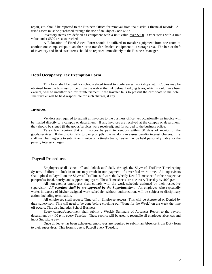repair, etc. should be reported to the Business Office for removal from the district's financial records. All fixed assets must be purchased through the use of an Object Code 663X.

Inventory items are defined as equipment with a unit value over \$500. Other items with a unit value under \$500 are also tracked .

A Relocation of Fixed Assets Form should be utilized to transfer equipment from one room to another, one campus/dept. to another, or to transfer obsolete equipment to a storage area. The loss or theft of inventory and fixed asset items should be reported immediately to the Business Manager.

### **Hotel Occupancy Tax Exemption Form**

This form shall be used for school-related travel to conferences, workshops, etc. Copies may be obtained from the business office or via the web at the link below. Lodging taxes, which should have been exempt, will be unauthorized for reimbursement if the traveler fails to present the certificate to the hotel. The traveler will be held responsible for such charges, if any.

# **Invoices**

Vendors are required to submit all invoices to the business office, yet occasionally an invoice will be mailed directly to a campus or department. If any invoices are received at the campus or department, they should be signed (if the goods/services were received), and forwarded to the business office.

Texas law requires that all invoices be paid to vendors within 30 days of receipt of the goods/services. If the district fails to pay promptly, the vendor can assess penalty interest charges. If a staff member neglects to submit an invoice on a timely basis, he/she may be held personally liable for the penalty interest charges.

# **Payroll Procedures**

Employees shall "clock-in" and "clock-out" daily through the Skyward TruTime Timekeeping System. Failure to clock-in or out may result in non-payment of unverified work time. All supervisors shall upload to Payroll on the Skyward TruTime software the Weekly Detail Time sheet for their respective paraprofessional, hourly, and support employees. These Time sheets are due every Tuesday by 4:00 p.m.

All non-exempt employees shall comply with the work schedule assigned by their respective supervisor. *All overtime shall be pre-approved by the Superintendent*. An employee who repeatedly works in excess of his/her assigned work schedule, without authorization, will be subject to disciplinary action, including termination.

All employees shall request Time off in Employee Access. This will be Approved or Denied by their supervisor. This will need to be done before clocking out "Gone for the Week" on the week the time off occurs. This also includes School Business.

Every campus/department shall submit a Weekly Summary of Absences Report to the payroll department by 4:00 p.m. every Tuesday. These reports will be used to reconcile all employee absences and input Substitute pay.

Once all leave has been exhausted employees are required to submit an Absence From Duty form to their supervisor. This form is due to Payroll every Tuesday.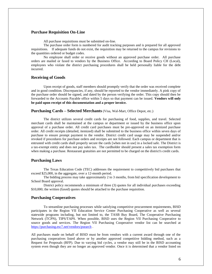# **Purchase Requisition On-Line**

All purchase requisitions must be submitted on-line.

The purchase order form is numbered for audit tracking purposes and is prepared for all approved requisitions. If adequate funds do not exist, the requisition may be returned to the campus for revisions to the quantities ordered or budget codes.

No employee shall order or receive goods without an approved purchase order. All purchase orders are mailed or faxed to vendors by the Business Office. According to Board Policy CH (Local), employees who violate the district purchasing procedures shall be held personally liable for the debt incurred.

#### **Receiving of Goods**

Upon receipt of goods, staff members should promptly verify that the order was received complete and in good condition. Discrepancies, if any, should be reported to the vendor immediately. A pink copy of the purchase order should be signed, and dated by the person verifying the order. This copy should then be forwarded to the Accounts Payable office within 5 days so that payment can be issued. **Vendors will only be paid upon receipt of this documentation and a proper invoice.** 

#### **Purchasing Cards – Selected Merchants** (Visa, Wal-Mart, Office Depot, etc.)

The district utilizes several credit cards for purchasing of food, supplies, and travel. Selected merchant cards shall be maintained at the campus or department or issued by the business office upon approval of a purchase order. All credit card purchases must be pre-approved on an itemized purchase order. All credit receipts (detailed, itemized) shall be submitted to the business office within seven days of purchase to ensure prompt payment to the vendor. District credit card usage may be suspended and/or revoked if procedures for purchase orders and receipts are not followed. Each campus or department that is entrusted with credit cards shall properly secure the cards [when not in use] in a locked safe. The District is a tax-exempt entity and does not pay sales tax. The cardholder should present a sales tax exemption form when making a purchase. Restaurant gratuities are not permitted to be charged on the district's credit cards.

#### **Purchasing Laws**

The Texas Education Code (TEC) addresses the requirement to competitively bid purchases that exceed \$25,000, in the aggregate, over a 12-month period.

The bidding process may take approximately 2 to 3 months, from bid specification development to School Board approval.

District policy recommends a minimum of three (3) quotes for all individual purchases exceeding \$10,000; the written (faxed) quotes should be attached to the purchase requisition.

# **Purchasing Cooperatives**

To streamline purchasing processes while satisfying competitive procurement requirements, BISD participates in the Region VII Education Service Center Purchasing Cooperative as well as several statewide programs including, but not limited to, the TASB Buy Board, The Cooperative Purchasing Network (TCPN), TIPS/TAPS. When possible, BISD uses the Region VII Purchasing Cooperative to source goods and services. The Region VII Purchasing Cooperative vendor list can be searched at <https://purchasing.esc7.net/vendors/psearch> .

All purchases made on behalf of BISD must be from vendors with a current award through one of the purchasing cooperatives listed above or by another approved competitive bidding method, such as a Request for Proposals (RFP). Due to varying bid cycles, a vendor may still be in the BISD accounting system even though they are no longer an approved vendor. Once it is determined that a vendor listed on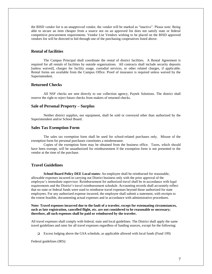the BISD vendor list is an unapproved vendor, the vendor will be marked as "inactive". Please note: Being able to secure an item cheaper from a source not on an approved list does not satisfy state or federal competitive procurement requirements. Vendor List Vendors wishing to be placed on the BISD approved vendors list will be directed to bid through one of the purchasing cooperatives listed above.

# **Rental of facilities**

The Campus Principal shall coordinate the rental of district facilities. A Rental Agreement is required for all rentals of facilities by outside organizations. All contracts shall include security deposits [unless waived], charges for facility usage, custodial services, or other related charges, if applicable. Rental forms are available from the Campus Office. Proof of insurance is required unless waived by the Superintendent.

# **Returned Checks**

All NSF checks are sent directly to our collection agency, Paytek Solutions. The district shall reserve the right to reject future checks from makers of returned checks.

#### **Sale of Personal Property – Surplus**

Neither district supplies, nor equipment, shall be sold or conveyed other than authorized by the Superintendent and/or School Board.

#### **Sales Tax Exemption Form**

The sales tax exemption form shall be used for school-related purchases only. Misuse of the exemption form for personal purchases constitutes a misdemeanor.

Copies of the exemption form may be obtained from the business office. Taxes, which should have been exempt, will be unauthorized for reimbursement if the exemption form is not presented to the vendor at the time of the purchase.

# **Travel Guidelines**

**School Board Policy DEE Local states:** An employee shall be reimbursed for reasonable, allowable expenses incurred in carrying out District business only with the prior approval of the employee's immediate supervisor. Reimbursement for authorized travel shall be in accordance with legal requirements and the District's travel reimbursement schedule. Accounting records shall accurately reflect that no state or federal funds were used to reimburse travel expenses beyond those authorized for state employees. For any authorized expense incurred, the employee shall submit a statement, with receipts to the extent feasible, documenting actual expenses and in accordance with administrative procedures.

### **Note: Travel expenses incurred due to the fault of a traveler, except for extenuating circumstances, such as late registration, cancelled flight, etc. are not considered to be reasonable or necessary; therefore, all such expenses shall be paid or reimbursed by the traveler.**

All travel expenses shall comply with federal, state and local guidelines. The District shall apply the same travel guidelines and rates for all travel expenses regardless of funding sources, except for the following:

Excess lodging above the GSA schedule, as applicable allowed with local funds (Fund 199)

Federal guidelines (IRS):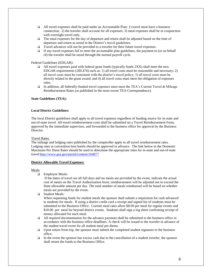- $\Box$  All travel expenses shall be paid under an Accountable Plan: 1) travel must have a business connection; 2) the traveler shall account for all expenses; 3) meal expenses shall be in conjunction with overnight travel only.
- The meal expenses for the day of departure and return shall be adjusted based on the time of departure and return as noted in the District's travel guidelines.
- Travel advances will not be provided to a traveler for their future travel expenses.
- If any travel expenses fail to meet the accountable plan guidelines, the payment to (or on behalf of) the traveler shall be taxed through the normal payroll cycle.

Federal Guidelines (EDGAR):

- $\Box$  All travel expenses paid with federal grant funds (typically funds 2XX) shall meet the new EDGAR requirements (200.474) such as: 1) all travel costs must be reasonable and necessary; 2) all travel costs must be consistent with the district's travel policy; 3) all travel costs must be directly related to the grant award; and 4) all travel costs must meet the obligation of expenses rules.
- $\Box$  In addition, all federally-funded travel expenses must meet the TEA's Current Travel & Mileage Reimbursement Rates (as published in the most recent TEA Correspondence).

### **State Guidelines (TEA):**

### **Local District Guidelines:**

The local District guidelines shall apply to all travel expenses regardless of funding source for in-state and out-of-state travel. All travel reimbursement costs shall be submitted on a Travel Reimbursement Form, approved by the immediate supervisor, and forwarded to the business office for approval by the Business Director.

Travel Rates:

The mileage and lodging rates published by the comptroller apply to all travel reimbursement rates. Lodging rates at convention host hotels should be approved in advance. The link below to the Domestic Maximum Per Diem Rates should be used to determine the appropriate rates for in-state and out-of-state travel[:http://www.gsa.gov/portal/content/104877](http://www.gsa.gov/portal/content/104877)

#### **District Allowable Travel Expenses:**

#### Meals

**Employee Meals:** 

If the dates of travel are all full days and no meals are provided by the event, indicate the actual cost of meals on the Travel Authorization form; reimbursement will be adjusted not to exceed the State allowable amount per day. The total number of meals reimbursed will be based on whether meals are provided by the event.

□ Student Meals:

When requesting funds for student meals the sponsor shall submit a requisition for cash advanced to students for meals. If using a district credit card a receipt and signed list of students must be submitted to the Business Office. Current meal rates allow \$8.00 per meal for regular events and \$10.00 per meal for beyond district events. Students shall sign a log sheet confirming receipt of money allocated for each meal.

- $\Box$  All required documentation for the advance payment shall be submitted to the business office in accordance with the business office deadlines. A check will be issued to the traveler in advance of the student travel event for all student meal per diems.
- $\Box$  Upon return from trip, the sponsor must submit the completed student signature to the business office.
- $\Box$  In the event the sponsor has excess cash due to the cancellation of a student traveler, the sponsor shall return the funds to the Business Office.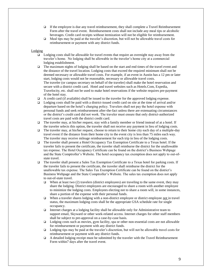- $\Box$  If the employee is due any travel reimbursement, they shall complete a Travel Reimbursement Form after the travel event. Reimbursement costs shall not include any meal tips or alcoholic beverages. Credit card receipts without itemization will not be eligible for reimbursement.
- $\Box$  Meal tips may be paid at the traveler's discretion, but will not be allowable travel costs for reimbursement or payment with any district funds.

#### Lodging

- Lodging costs shall be allowable for travel events that require an overnight stay away from the traveler's home. No lodging shall be allowable in the traveler's home city at a commercial lodging establishment.
- $\Box$  The maximum nights of lodging shall be based on the start and end times of the travel event and the distance of the travel location. Lodging costs that exceed the required minimum shall not be deemed necessary or allowable travel costs. For example, if an event in Austin has a 12 pm or later start, lodging costs would not be reasonable, necessary or allowable travel costs. The traveler (or campus secretary on behalf of the traveler) shall make the hotel reservation and secure with a district credit card. Hotel and travel websites such as Hotels.Com, Expedia, Travelocity, etc. shall not be used to make hotel reservations if the website requires pre-payment of the hotel stay.
- $\Box$  A credit card (if available) shall be issued to the traveler for the approved lodging expense.
- Lodging costs shall be paid with a district-issued credit card on site at the time of arrival and/or departure based on the hotel's charging policy. Travelers shall not pay the hotel expense with personal funds and seek reimbursement after-the-fact unless there are extenuating circumstances or the district's credit card did not work. The traveler must ensure that only district-authorized travel costs are paid with the district credit card.
- $\Box$  The traveler may, at his/her request, stay with a family member or friend instead of at a hotel. If the traveler selects this option, the traveler shall not receive any payment in lieu of lodging costs.
- $\Box$  The traveler may, at his/her request, choose to return to their home city each day of a multiple-day travel event if the distance from their home city to the event city is less than 75 miles each way. The traveler may receive mileage reimbursement for each trip in lieu of the lodging costs.
- The traveler shall present a Hotel Occupancy Tax Exemption Certificate to a Texas hotel. If the traveler fails to present the certificate, the traveler shall reimburse the district for the unallowable tax expense. The Hotel Occupancy Certificate can be found on the district's Business Webpage and the State Comptroller's Website. The hotel occupancy tax exemption does not apply to out-ofstate travel.
- The traveler shall present a Sales Tax Exemption Certificate to a Texas hotel for parking costs. If the traveler fails to present the certificate, the traveler shall reimburse the district for the unallowable tax expense. The Sales Tax Exemption Certificate can be found on the district's Business Webpage and the State Comptroller's Website. The sales tax exemption does not apply to out-of-state travel.
	- When at least two (2) travelers (district employees) are traveling to the same event, they may share the lodging. District employees are encouraged to share a room with another employee to minimize the lodging costs. Employees electing not to share a room will, in some instances, share a portion of the expense with their personal funds.
	- When a traveler shares lodging with a non-district employee or district employee not in travel status, the maximum lodging costs shall be the appropriate GSA schedule rate for single occupancy.
	- Internet charges at a lodging facility shall be allowable only for Administrative team to support email, Skyward or other work-related access. Internet charges for other staff members shall be subject to pre-approval on a case-by-case basis.
	- $\Box$  Lodging costs such as movies, gym facility, spa or other non-essential costs are not allowable for reimbursement or payment with any district funds.
	- Lodging tips may be paid at the traveler's discretion, but will not be allowable travel costs for reimbursement or payment with any district funds.
	- A detailed lodging receipt must be submitted by the traveler with the Travel Reimbursement Form within7 days after the travel event.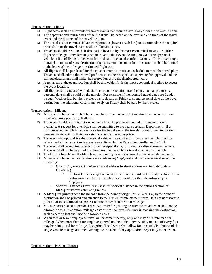Transportation –Flights

- $\Box$  Flight costs shall be allowable for travel events that require travel away from the traveler's home.
- $\Box$  The departure and return dates of the flight shall be based on the start and end times of the travel event and the distance of the travel location.
- $\Box$  The actual cost of commercial air transportation (lowest coach fare) to accommodate the required travel dates of the travel event shall be allowable costs.
- $\Box$  Travelers should travel to their destination location by the most economical means, i.e. either flight or mileage. Travelers may opt to travel to their event destination via district/personal vehicle in lieu of flying to the event for medical or personal comfort reasons. If the traveler opts to travel to an out-of-state destination, the costs/reimbursement for transportation shall be limited to the lesser of the mileage or estimated flight cost.
- $\Box$  All flights shall be purchased for the most economical route and schedule to meet the travel plans. Travelers shall submit their travel preferences to their respective supervisor for approval and the campus/department shall make the reservation using the district credit card
- $\Box$  A rental car at the event location shall be allowable if it is the most economical method to access the event location.
- $\Box$  All flight costs associated with deviations from the required travel plans, such as pre or post personal days shall be paid by the traveler. For example, if the required travel dates are Sunday through Wednesday, but the traveler opts to depart on Friday to spend personal days at the travel destination, the additional cost, if any, to fly on Friday shall be paid by the traveler.

Transportation – Mileage

- $\Box$  Mileage reimbursements shall be allowable for travel events that require travel away from the traveler's home (typically, Bullard).
- Travelers should use a district-owned vehicle as the preferred method of transportation if available. A request for a vehicle shall be submitted to the Transportation Department. If a district-owned vehicle is not available for the travel event, the traveler is authorized to use their personal vehicle, if not flying or using a rental car, as appropriate.
- Travelers who opt to drive their personal vehicle instead of a district-owned vehicle, shall be reimbursed at the current mileage rate established by the Texas Comptroller and/or TEA.
- Travelers shall be required to submit fuel receipts, if any, for travel in a district-owned vehicle. Travelers shall not be required to submit any fuel receipts for travel in a personal vehicle.
- $\Box$  The District has chosen the MapQuest mapping system to document mileage reimbursements.
- $\Box$  Mileage reimbursement calculations are made using MapQuest and the traveler must select the following:
	- o City to City route (Do not enter street address to street address enter City/State to City/State)
		- If a traveler is leaving from a city other than Bullard and this city is closer to the destination then the traveler shall use this site for their departing city in MapQuest.
	- o Shortest Distance (Traveler must select shortest distance in the options section of MapQuest before calculating miles)
- $\Box$  A MapQuest printout with the mileage from the point of origin [or Bullard, TX] to the point of destination shall be printed and attached to the Travel Reimbursement form. It is not necessary to print all of the additional MapQuest features other than the total mileage.
- Mileage costs related to personal destinations before, during or after the travel event shall not be allowable costs. In addition, mileage costs due to the traveler's error in reaching the destination, such as getting lost shall not be allowable costs.
- When four or fewer employees travel on the same itinerary, only one may be reimbursed for mileage. When more than four employees travel on the same itinerary, only one out of every four may be reimbursed for mileage. Exception: The district shall allow for an equal distribution of the single vehicle mileage allotment among the travelers if they opt to drive separately to the event.

Transportation – Parking Charges